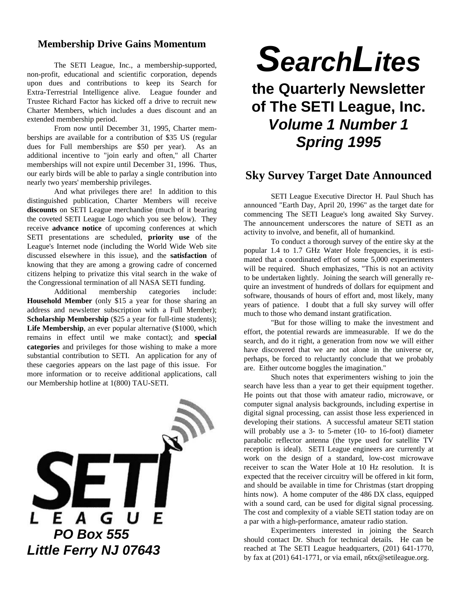#### **Membership Drive Gains Momentum**

The SETI League, Inc., a membership-supported, non-profit, educational and scientific corporation, depends upon dues and contributions to keep its Search for Extra-Terrestrial Intelligence alive. League founder and Trustee Richard Factor has kicked off a drive to recruit new Charter Members, which includes a dues discount and an extended membership period.

From now until December 31, 1995, Charter memberships are available for a contribution of \$35 US (regular dues for Full memberships are \$50 per year). As an additional incentive to "join early and often," all Charter memberships will not expire until December 31, 1996. Thus, our early birds will be able to parlay a single contribution into nearly two years' membership privileges.

And what privileges there are! In addition to this distinguished publication, Charter Members will receive **discounts** on SETI League merchandise (much of it bearing the coveted SETI League Logo which you see below). They receive **advance notice** of upcoming conferences at which SETI presentations are scheduled, **priority use** of the League's Internet node (including the World Wide Web site discussed elsewhere in this issue), and the **satisfaction** of knowing that they are among a growing cadre of concerned citizens helping to privatize this vital search in the wake of the Congressional termination of all NASA SETI funding.

Additional membership categories include: **Household Member** (only \$15 a year for those sharing an address and newsletter subscription with a Full Member); **Scholarship Membership** (\$25 a year for full-time students); Life Membership, an ever popular alternative (\$1000, which remains in effect until we make contact); and **special categories** and privileges for those wishing to make a more substantial contribution to SETI. An application for any of these caegories appears on the last page of this issue. For more information or to receive additional applications, call our Membership hotline at 1(800) TAU-SETI.



# *SearchLites*

# **the Quarterly Newsletter of The SETI League, Inc.** *Volume 1 Number 1 Spring 1995*

#### **Sky Survey Target Date Announced**

SETI League Executive Director H. Paul Shuch has announced "Earth Day, April 20, 1996" as the target date for commencing The SETI League's long awaited Sky Survey. The announcement underscores the nature of SETI as an activity to involve, and benefit, all of humankind.

To conduct a thorough survey of the entire sky at the popular 1.4 to 1.7 GHz Water Hole frequencies, it is estimated that a coordinated effort of some 5,000 experimenters will be required. Shuch emphasizes, "This is not an activity to be undertaken lightly. Joining the search will generally require an investment of hundreds of dollars for equipment and software, thousands of hours of effort and, most likely, many years of patience. I doubt that a full sky survey will offer much to those who demand instant gratification.

"But for those willing to make the investment and effort, the potential rewards are immeasurable. If we do the search, and do it right, a generation from now we will either have discovered that we are not alone in the universe or, perhaps, be forced to reluctantly conclude that we probably are. Either outcome boggles the imagination."

Shuch notes that experimenters wishing to join the search have less than a year to get their equipment together. He points out that those with amateur radio, microwave, or computer signal analysis backgrounds, including expertise in digital signal processing, can assist those less experienced in developing their stations. A successful amateur SETI station will probably use a 3- to 5-meter (10- to 16-foot) diameter parabolic reflector antenna (the type used for satellite TV reception is ideal). SETI League engineers are currently at work on the design of a standard, low-cost microwave receiver to scan the Water Hole at 10 Hz resolution. It is expected that the receiver circuitry will be offered in kit form, and should be available in time for Christmas (start dropping hints now). A home computer of the 486 DX class, equipped with a sound card, can be used for digital signal processing. The cost and complexity of a viable SETI station today are on a par with a high-performance, amateur radio station.

Experimenters interested in joining the Search should contact Dr. Shuch for technical details. He can be reached at The SETI League headquarters, (201) 641-1770, by fax at (201) 641-1771, or via email, n6tx@setileague.org.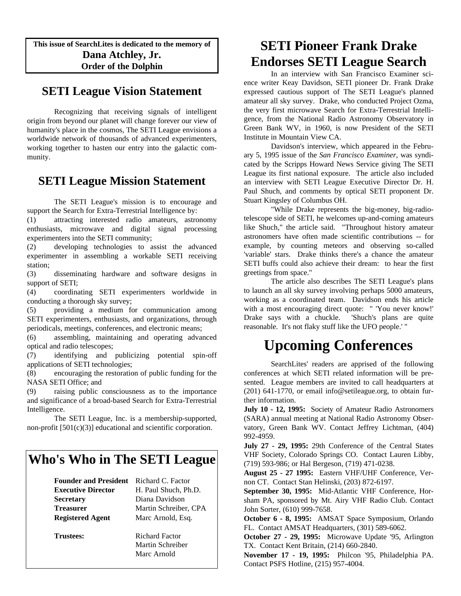**This issue of SearchLites is dedicated to the memory of Dana Atchley, Jr. Order of the Dolphin**

### **SETI League Vision Statement**

Recognizing that receiving signals of intelligent origin from beyond our planet will change forever our view of humanity's place in the cosmos, The SETI League envisions a worldwide network of thousands of advanced experimenters, working together to hasten our entry into the galactic community.

#### **SETI League Mission Statement**

The SETI League's mission is to encourage and support the Search for Extra-Terrestrial Intelligence by:

(1) attracting interested radio amateurs, astronomy enthusiasts, microwave and digital signal processing experimenters into the SETI community;

(2) developing technologies to assist the advanced experimenter in assembling a workable SETI receiving station;

(3) disseminating hardware and software designs in support of SETI;

(4) coordinating SETI experimenters worldwide in conducting a thorough sky survey;

(5) providing a medium for communication among SETI experimenters, enthusiasts, and organizations, through periodicals, meetings, conferences, and electronic means;

(6) assembling, maintaining and operating advanced optical and radio telescopes;

(7) identifying and publicizing potential spin-off applications of SETI technologies;

(8) encouraging the restoration of public funding for the NASA SETI Office; and

(9) raising public consciousness as to the importance and significance of a broad-based Search for Extra-Terrestrial Intelligence.

The SETI League, Inc. is a membership-supported, non-profit [501(c)(3)] educational and scientific corporation.

## **Who's Who in The SETI League**

| <b>Founder and President</b> | Richard C. Factor     |
|------------------------------|-----------------------|
| <b>Executive Director</b>    | H. Paul Shuch, Ph.D.  |
| <b>Secretary</b>             | Diana Davidson        |
| <b>Treasurer</b>             | Martin Schreiber, CPA |
| <b>Registered Agent</b>      | Marc Arnold, Esq.     |
| <b>Trustees:</b>             | <b>Richard Factor</b> |

Martin Schreiber Marc Arnold

## **SETI Pioneer Frank Drake Endorses SETI League Search**

In an interview with San Francisco Examiner science writer Keay Davidson, SETI pioneer Dr. Frank Drake expressed cautious support of The SETI League's planned amateur all sky survey. Drake, who conducted Project Ozma, the very first microwave Search for Extra-Terrestrial Intelligence, from the National Radio Astronomy Observatory in Green Bank WV, in 1960, is now President of the SETI Institute in Mountain View CA.

Davidson's interview, which appeared in the February 5, 1995 issue of the *San Francisco Examiner*, was syndicated by the Scripps Howard News Service giving The SETI League its first national exposure. The article also included an interview with SETI League Executive Director Dr. H. Paul Shuch, and comments by optical SETI proponent Dr. Stuart Kingsley of Columbus OH.

"While Drake represents the big-money, big-radiotelescope side of SETI, he welcomes up-and-coming amateurs like Shuch," the article said. "Throughout history amateur astronomers have often made scientific contributions -- for example, by counting meteors and observing so-called 'variable' stars. Drake thinks there's a chance the amateur SETI buffs could also achieve their dream: to hear the first greetings from space."

The article also describes The SETI League's plans to launch an all sky survey involving perhaps 5000 amateurs, working as a coordinated team. Davidson ends his article with a most encouraging direct quote: " 'You never know!' Drake says with a chuckle. 'Shuch's plans are quite reasonable. It's not flaky stuff like the UFO people.' "

# **Upcoming Conferences**

SearchLites' readers are apprised of the following conferences at which SETI related information will be presented. League members are invited to call headquarters at (201) 641-1770, or email info@setileague.org, to obtain further information.

**July 10 - 12, 1995:** Society of Amateur Radio Astronomers (SARA) annual meeting at National Radio Astronomy Observatory, Green Bank WV. Contact Jeffrey Lichtman, (404) 992-4959.

**July 27 - 29, 1995:** 29th Conference of the Central States VHF Society, Colorado Springs CO. Contact Lauren Libby, (719) 593-986; or Hal Bergeson, (719) 471-0238.

**August 25 - 27 1995:** Eastern VHF/UHF Conference, Vernon CT. Contact Stan Helinski, (203) 872-6197.

**September 30, 1995:** Mid-Atlantic VHF Conference, Horsham PA, sponsored by Mt. Airy VHF Radio Club. Contact John Sorter, (610) 999-7658.

**October 6 - 8, 1995:** AMSAT Space Symposium, Orlando FL. Contact AMSAT Headquarters, (301) 589-6062.

**October 27 - 29, 1995:** Microwave Update '95, Arlington TX. Contact Kent Britain, (214) 660-2840.

**November 17 - 19, 1995:** Philcon '95, Philadelphia PA. Contact PSFS Hotline, (215) 957-4004.